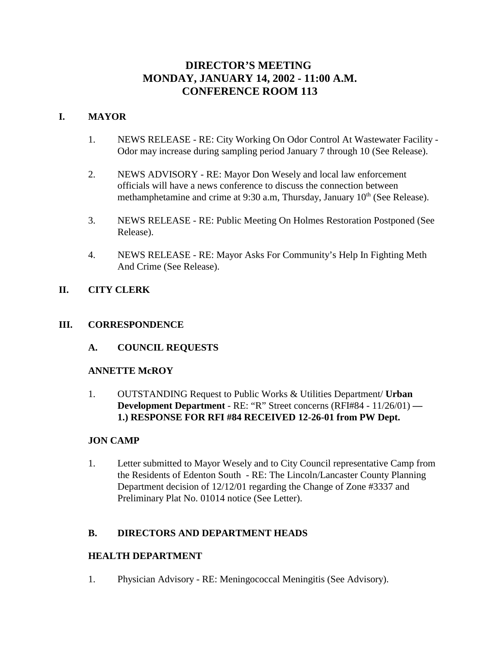# **DIRECTOR'S MEETING MONDAY, JANUARY 14, 2002 - 11:00 A.M. CONFERENCE ROOM 113**

# **I. MAYOR**

- 1. NEWS RELEASE RE: City Working On Odor Control At Wastewater Facility Odor may increase during sampling period January 7 through 10 (See Release).
- 2. NEWS ADVISORY RE: Mayor Don Wesely and local law enforcement officials will have a news conference to discuss the connection between methamphetamine and crime at 9:30 a.m, Thursday, January  $10<sup>th</sup>$  (See Release).
- 3. NEWS RELEASE RE: Public Meeting On Holmes Restoration Postponed (See Release).
- 4. NEWS RELEASE RE: Mayor Asks For Community's Help In Fighting Meth And Crime (See Release).

# **II. CITY CLERK**

# **III. CORRESPONDENCE**

**A. COUNCIL REQUESTS**

# **ANNETTE McROY**

1. OUTSTANDING Request to Public Works & Utilities Department/ **Urban Development Department** - RE: "R" Street concerns (RFI#84 - 11/26/01) **— 1.) RESPONSE FOR RFI #84 RECEIVED 12-26-01 from PW Dept.** 

# **JON CAMP**

1. Letter submitted to Mayor Wesely and to City Council representative Camp from the Residents of Edenton South - RE: The Lincoln/Lancaster County Planning Department decision of 12/12/01 regarding the Change of Zone #3337 and Preliminary Plat No. 01014 notice (See Letter).

# **B. DIRECTORS AND DEPARTMENT HEADS**

# **HEALTH DEPARTMENT**

1. Physician Advisory - RE: Meningococcal Meningitis (See Advisory).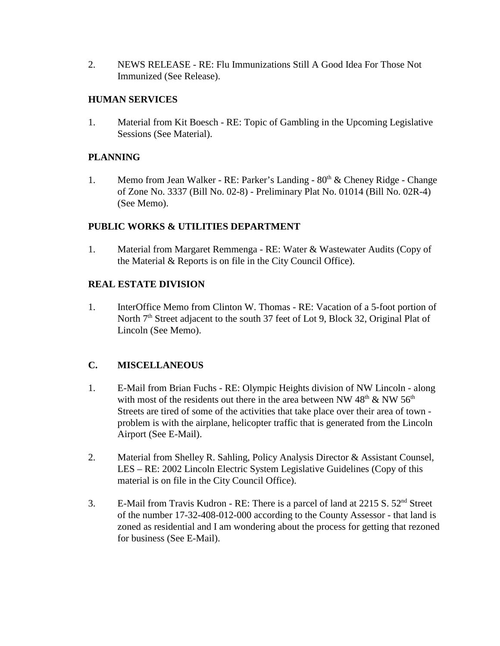2. NEWS RELEASE - RE: Flu Immunizations Still A Good Idea For Those Not Immunized (See Release).

# **HUMAN SERVICES**

1. Material from Kit Boesch - RE: Topic of Gambling in the Upcoming Legislative Sessions (See Material).

# **PLANNING**

1. Memo from Jean Walker - RE: Parker's Landing -  $80<sup>th</sup>$  & Cheney Ridge - Change of Zone No. 3337 (Bill No. 02-8) - Preliminary Plat No. 01014 (Bill No. 02R-4) (See Memo).

# **PUBLIC WORKS & UTILITIES DEPARTMENT**

1. Material from Margaret Remmenga - RE: Water & Wastewater Audits (Copy of the Material & Reports is on file in the City Council Office).

# **REAL ESTATE DIVISION**

1. InterOffice Memo from Clinton W. Thomas - RE: Vacation of a 5-foot portion of North 7<sup>th</sup> Street adjacent to the south 37 feet of Lot 9, Block 32, Original Plat of Lincoln (See Memo).

# **C. MISCELLANEOUS**

- 1. E-Mail from Brian Fuchs RE: Olympic Heights division of NW Lincoln along with most of the residents out there in the area between NW  $48<sup>th</sup>$  & NW  $56<sup>th</sup>$ Streets are tired of some of the activities that take place over their area of town problem is with the airplane, helicopter traffic that is generated from the Lincoln Airport (See E-Mail).
- 2. Material from Shelley R. Sahling, Policy Analysis Director & Assistant Counsel, LES – RE: 2002 Lincoln Electric System Legislative Guidelines (Copy of this material is on file in the City Council Office).
- 3. E-Mail from Travis Kudron RE: There is a parcel of land at 2215 S. 52<sup>nd</sup> Street of the number 17-32-408-012-000 according to the County Assessor - that land is zoned as residential and I am wondering about the process for getting that rezoned for business (See E-Mail).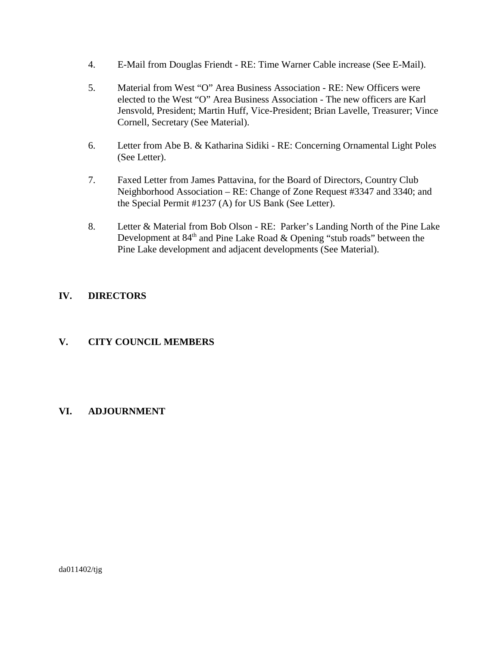- 4. E-Mail from Douglas Friendt RE: Time Warner Cable increase (See E-Mail).
- 5. Material from West "O" Area Business Association RE: New Officers were elected to the West "O" Area Business Association - The new officers are Karl Jensvold, President; Martin Huff, Vice-President; Brian Lavelle, Treasurer; Vince Cornell, Secretary (See Material).
- 6. Letter from Abe B. & Katharina Sidiki RE: Concerning Ornamental Light Poles (See Letter).
- 7. Faxed Letter from James Pattavina, for the Board of Directors, Country Club Neighborhood Association – RE: Change of Zone Request #3347 and 3340; and the Special Permit #1237 (A) for US Bank (See Letter).
- 8. Letter & Material from Bob Olson RE: Parker's Landing North of the Pine Lake Development at  $84<sup>th</sup>$  and Pine Lake Road & Opening "stub roads" between the Pine Lake development and adjacent developments (See Material).

# **IV. DIRECTORS**

# **V. CITY COUNCIL MEMBERS**

# **VI. ADJOURNMENT**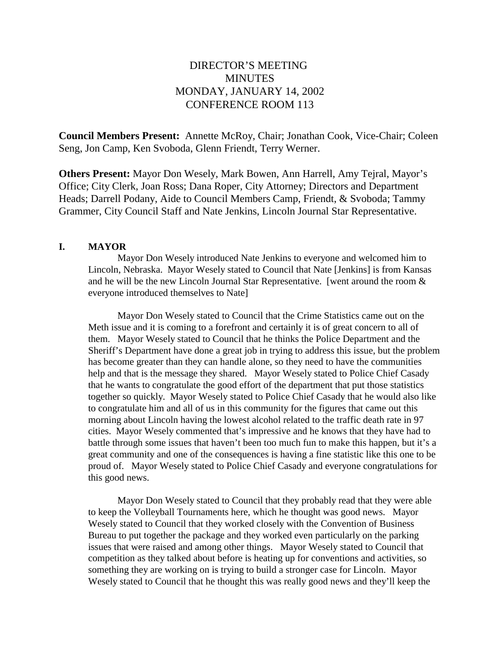# DIRECTOR'S MEETING **MINUTES** MONDAY, JANUARY 14, 2002 CONFERENCE ROOM 113

**Council Members Present:** Annette McRoy, Chair; Jonathan Cook, Vice-Chair; Coleen Seng, Jon Camp, Ken Svoboda, Glenn Friendt, Terry Werner.

**Others Present:** Mayor Don Wesely, Mark Bowen, Ann Harrell, Amy Tejral, Mayor's Office; City Clerk, Joan Ross; Dana Roper, City Attorney; Directors and Department Heads; Darrell Podany, Aide to Council Members Camp, Friendt, & Svoboda; Tammy Grammer, City Council Staff and Nate Jenkins, Lincoln Journal Star Representative.

#### **I. MAYOR**

Mayor Don Wesely introduced Nate Jenkins to everyone and welcomed him to Lincoln, Nebraska. Mayor Wesely stated to Council that Nate [Jenkins] is from Kansas and he will be the new Lincoln Journal Star Representative. [went around the room & everyone introduced themselves to Nate]

Mayor Don Wesely stated to Council that the Crime Statistics came out on the Meth issue and it is coming to a forefront and certainly it is of great concern to all of them. Mayor Wesely stated to Council that he thinks the Police Department and the Sheriff's Department have done a great job in trying to address this issue, but the problem has become greater than they can handle alone, so they need to have the communities help and that is the message they shared. Mayor Wesely stated to Police Chief Casady that he wants to congratulate the good effort of the department that put those statistics together so quickly. Mayor Wesely stated to Police Chief Casady that he would also like to congratulate him and all of us in this community for the figures that came out this morning about Lincoln having the lowest alcohol related to the traffic death rate in 97 cities. Mayor Wesely commented that's impressive and he knows that they have had to battle through some issues that haven't been too much fun to make this happen, but it's a great community and one of the consequences is having a fine statistic like this one to be proud of. Mayor Wesely stated to Police Chief Casady and everyone congratulations for this good news.

Mayor Don Wesely stated to Council that they probably read that they were able to keep the Volleyball Tournaments here, which he thought was good news. Mayor Wesely stated to Council that they worked closely with the Convention of Business Bureau to put together the package and they worked even particularly on the parking issues that were raised and among other things. Mayor Wesely stated to Council that competition as they talked about before is heating up for conventions and activities, so something they are working on is trying to build a stronger case for Lincoln. Mayor Wesely stated to Council that he thought this was really good news and they'll keep the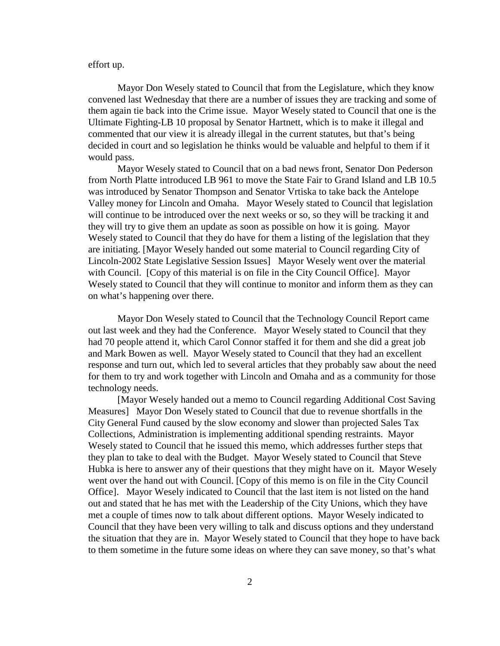#### effort up.

Mayor Don Wesely stated to Council that from the Legislature, which they know convened last Wednesday that there are a number of issues they are tracking and some of them again tie back into the Crime issue. Mayor Wesely stated to Council that one is the Ultimate Fighting-LB 10 proposal by Senator Hartnett, which is to make it illegal and commented that our view it is already illegal in the current statutes, but that's being decided in court and so legislation he thinks would be valuable and helpful to them if it would pass.

Mayor Wesely stated to Council that on a bad news front, Senator Don Pederson from North Platte introduced LB 961 to move the State Fair to Grand Island and LB 10.5 was introduced by Senator Thompson and Senator Vrtiska to take back the Antelope Valley money for Lincoln and Omaha. Mayor Wesely stated to Council that legislation will continue to be introduced over the next weeks or so, so they will be tracking it and they will try to give them an update as soon as possible on how it is going. Mayor Wesely stated to Council that they do have for them a listing of the legislation that they are initiating. [Mayor Wesely handed out some material to Council regarding City of Lincoln-2002 State Legislative Session Issues] Mayor Wesely went over the material with Council. [Copy of this material is on file in the City Council Office]. Mayor Wesely stated to Council that they will continue to monitor and inform them as they can on what's happening over there.

Mayor Don Wesely stated to Council that the Technology Council Report came out last week and they had the Conference. Mayor Wesely stated to Council that they had 70 people attend it, which Carol Connor staffed it for them and she did a great job and Mark Bowen as well. Mayor Wesely stated to Council that they had an excellent response and turn out, which led to several articles that they probably saw about the need for them to try and work together with Lincoln and Omaha and as a community for those technology needs.

[Mayor Wesely handed out a memo to Council regarding Additional Cost Saving Measures] Mayor Don Wesely stated to Council that due to revenue shortfalls in the City General Fund caused by the slow economy and slower than projected Sales Tax Collections, Administration is implementing additional spending restraints. Mayor Wesely stated to Council that he issued this memo, which addresses further steps that they plan to take to deal with the Budget. Mayor Wesely stated to Council that Steve Hubka is here to answer any of their questions that they might have on it. Mayor Wesely went over the hand out with Council. [Copy of this memo is on file in the City Council Office]. Mayor Wesely indicated to Council that the last item is not listed on the hand out and stated that he has met with the Leadership of the City Unions, which they have met a couple of times now to talk about different options. Mayor Wesely indicated to Council that they have been very willing to talk and discuss options and they understand the situation that they are in. Mayor Wesely stated to Council that they hope to have back to them sometime in the future some ideas on where they can save money, so that's what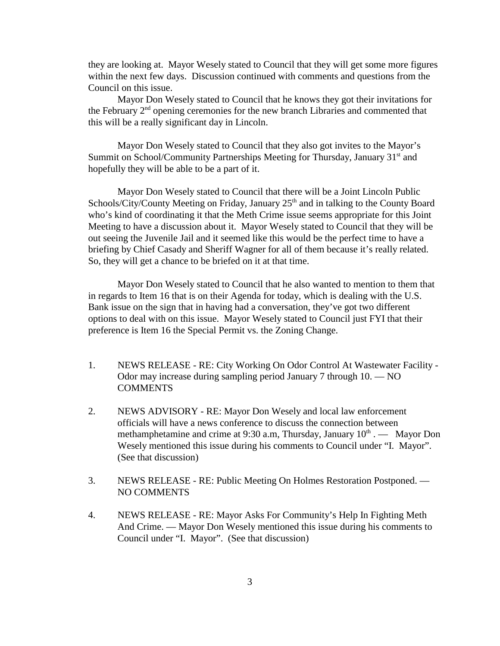they are looking at. Mayor Wesely stated to Council that they will get some more figures within the next few days. Discussion continued with comments and questions from the Council on this issue.

Mayor Don Wesely stated to Council that he knows they got their invitations for the February  $2<sup>nd</sup>$  opening ceremonies for the new branch Libraries and commented that this will be a really significant day in Lincoln.

Mayor Don Wesely stated to Council that they also got invites to the Mayor's Summit on School/Community Partnerships Meeting for Thursday, January 31<sup>st</sup> and hopefully they will be able to be a part of it.

Mayor Don Wesely stated to Council that there will be a Joint Lincoln Public Schools/City/County Meeting on Friday, January 25<sup>th</sup> and in talking to the County Board who's kind of coordinating it that the Meth Crime issue seems appropriate for this Joint Meeting to have a discussion about it. Mayor Wesely stated to Council that they will be out seeing the Juvenile Jail and it seemed like this would be the perfect time to have a briefing by Chief Casady and Sheriff Wagner for all of them because it's really related. So, they will get a chance to be briefed on it at that time.

Mayor Don Wesely stated to Council that he also wanted to mention to them that in regards to Item 16 that is on their Agenda for today, which is dealing with the U.S. Bank issue on the sign that in having had a conversation, they've got two different options to deal with on this issue. Mayor Wesely stated to Council just FYI that their preference is Item 16 the Special Permit vs. the Zoning Change.

- 1. NEWS RELEASE RE: City Working On Odor Control At Wastewater Facility Odor may increase during sampling period January 7 through 10. — NO COMMENTS
- 2. NEWS ADVISORY RE: Mayor Don Wesely and local law enforcement officials will have a news conference to discuss the connection between methamphetamine and crime at 9:30 a.m, Thursday, January  $10<sup>th</sup>$ . — Mayor Don Wesely mentioned this issue during his comments to Council under "I. Mayor". (See that discussion)
- 3. NEWS RELEASE RE: Public Meeting On Holmes Restoration Postponed. NO COMMENTS
- 4. NEWS RELEASE RE: Mayor Asks For Community's Help In Fighting Meth And Crime. — Mayor Don Wesely mentioned this issue during his comments to Council under "I. Mayor". (See that discussion)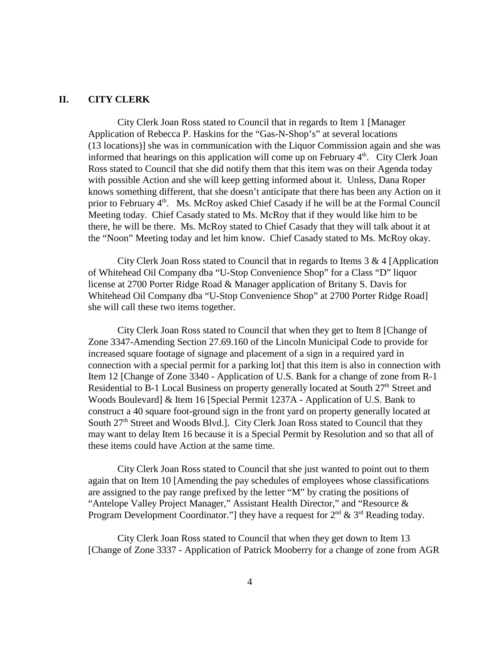#### **II. CITY CLERK**

City Clerk Joan Ross stated to Council that in regards to Item 1 [Manager Application of Rebecca P. Haskins for the "Gas-N-Shop's" at several locations (13 locations)] she was in communication with the Liquor Commission again and she was informed that hearings on this application will come up on February  $4<sup>th</sup>$ . City Clerk Joan Ross stated to Council that she did notify them that this item was on their Agenda today with possible Action and she will keep getting informed about it. Unless, Dana Roper knows something different, that she doesn't anticipate that there has been any Action on it prior to February  $4<sup>th</sup>$ . Ms. McRoy asked Chief Casady if he will be at the Formal Council Meeting today. Chief Casady stated to Ms. McRoy that if they would like him to be there, he will be there. Ms. McRoy stated to Chief Casady that they will talk about it at the "Noon" Meeting today and let him know. Chief Casady stated to Ms. McRoy okay.

City Clerk Joan Ross stated to Council that in regards to Items  $3 \& 4$  [Application] of Whitehead Oil Company dba "U-Stop Convenience Shop" for a Class "D" liquor license at 2700 Porter Ridge Road & Manager application of Britany S. Davis for Whitehead Oil Company dba "U-Stop Convenience Shop" at 2700 Porter Ridge Road] she will call these two items together.

City Clerk Joan Ross stated to Council that when they get to Item 8 [Change of Zone 3347-Amending Section 27.69.160 of the Lincoln Municipal Code to provide for increased square footage of signage and placement of a sign in a required yard in connection with a special permit for a parking lot] that this item is also in connection with Item 12 [Change of Zone 3340 - Application of U.S. Bank for a change of zone from R-1 Residential to B-1 Local Business on property generally located at South 27<sup>th</sup> Street and Woods Boulevard] & Item 16 [Special Permit 1237A - Application of U.S. Bank to construct a 40 square foot-ground sign in the front yard on property generally located at South 27<sup>th</sup> Street and Woods Blvd.]. City Clerk Joan Ross stated to Council that they may want to delay Item 16 because it is a Special Permit by Resolution and so that all of these items could have Action at the same time.

City Clerk Joan Ross stated to Council that she just wanted to point out to them again that on Item 10 [Amending the pay schedules of employees whose classifications are assigned to the pay range prefixed by the letter "M" by crating the positions of "Antelope Valley Project Manager," Assistant Health Director," and "Resource & Program Development Coordinator."] they have a request for  $2^{nd} \& 3^{rd}$  Reading today.

City Clerk Joan Ross stated to Council that when they get down to Item 13 [Change of Zone 3337 - Application of Patrick Mooberry for a change of zone from AGR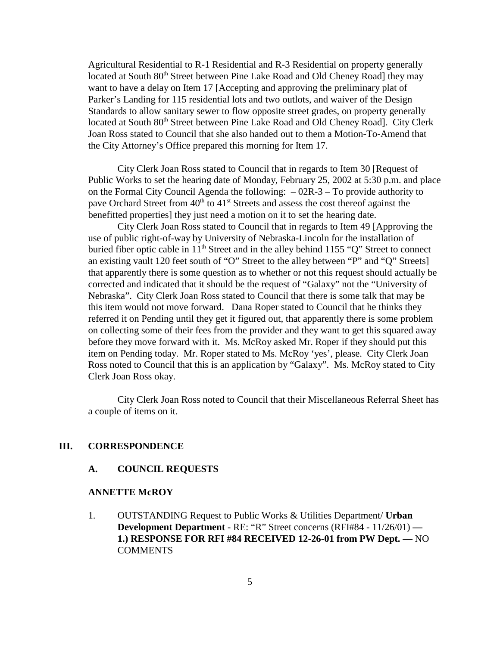Agricultural Residential to R-1 Residential and R-3 Residential on property generally located at South 80<sup>th</sup> Street between Pine Lake Road and Old Cheney Road] they may want to have a delay on Item 17 [Accepting and approving the preliminary plat of Parker's Landing for 115 residential lots and two outlots, and waiver of the Design Standards to allow sanitary sewer to flow opposite street grades, on property generally located at South 80<sup>th</sup> Street between Pine Lake Road and Old Cheney Road]. City Clerk Joan Ross stated to Council that she also handed out to them a Motion-To-Amend that the City Attorney's Office prepared this morning for Item 17.

City Clerk Joan Ross stated to Council that in regards to Item 30 [Request of Public Works to set the hearing date of Monday, February 25, 2002 at 5:30 p.m. and place on the Formal City Council Agenda the following: – 02R-3 – To provide authority to pave Orchard Street from 40<sup>th</sup> to 41<sup>st</sup> Streets and assess the cost thereof against the benefitted properties] they just need a motion on it to set the hearing date.

City Clerk Joan Ross stated to Council that in regards to Item 49 [Approving the use of public right-of-way by University of Nebraska-Lincoln for the installation of buried fiber optic cable in  $11<sup>th</sup>$  Street and in the alley behind 1155 "Q" Street to connect an existing vault 120 feet south of "O" Street to the alley between "P" and "Q" Streets] that apparently there is some question as to whether or not this request should actually be corrected and indicated that it should be the request of "Galaxy" not the "University of Nebraska". City Clerk Joan Ross stated to Council that there is some talk that may be this item would not move forward. Dana Roper stated to Council that he thinks they referred it on Pending until they get it figured out, that apparently there is some problem on collecting some of their fees from the provider and they want to get this squared away before they move forward with it. Ms. McRoy asked Mr. Roper if they should put this item on Pending today. Mr. Roper stated to Ms. McRoy 'yes', please. City Clerk Joan Ross noted to Council that this is an application by "Galaxy". Ms. McRoy stated to City Clerk Joan Ross okay.

City Clerk Joan Ross noted to Council that their Miscellaneous Referral Sheet has a couple of items on it.

### **III. CORRESPONDENCE**

#### **A. COUNCIL REQUESTS**

#### **ANNETTE McROY**

1. OUTSTANDING Request to Public Works & Utilities Department/ **Urban Development Department** - RE: "R" Street concerns (RFI#84 - 11/26/01) **— 1.) RESPONSE FOR RFI #84 RECEIVED 12-26-01 from PW Dept. —** NO **COMMENTS**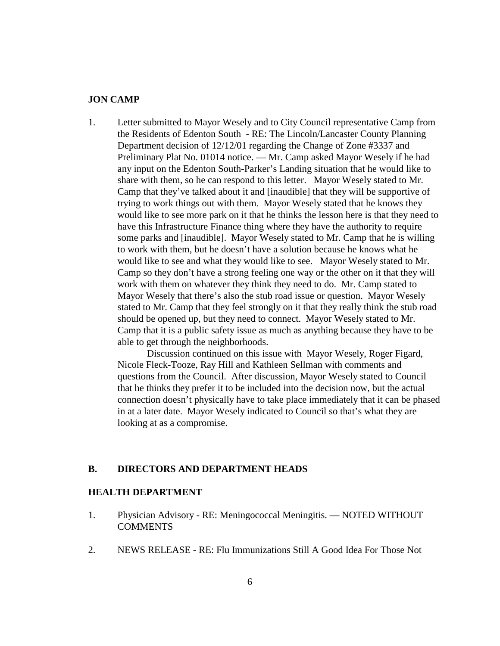#### **JON CAMP**

1. Letter submitted to Mayor Wesely and to City Council representative Camp from the Residents of Edenton South - RE: The Lincoln/Lancaster County Planning Department decision of 12/12/01 regarding the Change of Zone #3337 and Preliminary Plat No. 01014 notice. — Mr. Camp asked Mayor Wesely if he had any input on the Edenton South-Parker's Landing situation that he would like to share with them, so he can respond to this letter. Mayor Wesely stated to Mr. Camp that they've talked about it and [inaudible] that they will be supportive of trying to work things out with them. Mayor Wesely stated that he knows they would like to see more park on it that he thinks the lesson here is that they need to have this Infrastructure Finance thing where they have the authority to require some parks and [inaudible]. Mayor Wesely stated to Mr. Camp that he is willing to work with them, but he doesn't have a solution because he knows what he would like to see and what they would like to see. Mayor Wesely stated to Mr. Camp so they don't have a strong feeling one way or the other on it that they will work with them on whatever they think they need to do. Mr. Camp stated to Mayor Wesely that there's also the stub road issue or question. Mayor Wesely stated to Mr. Camp that they feel strongly on it that they really think the stub road should be opened up, but they need to connect. Mayor Wesely stated to Mr. Camp that it is a public safety issue as much as anything because they have to be able to get through the neighborhoods.

Discussion continued on this issue with Mayor Wesely, Roger Figard, Nicole Fleck-Tooze, Ray Hill and Kathleen Sellman with comments and questions from the Council. After discussion, Mayor Wesely stated to Council that he thinks they prefer it to be included into the decision now, but the actual connection doesn't physically have to take place immediately that it can be phased in at a later date. Mayor Wesely indicated to Council so that's what they are looking at as a compromise.

### **B. DIRECTORS AND DEPARTMENT HEADS**

#### **HEALTH DEPARTMENT**

- 1. Physician Advisory RE: Meningococcal Meningitis. NOTED WITHOUT **COMMENTS**
- 2. NEWS RELEASE RE: Flu Immunizations Still A Good Idea For Those Not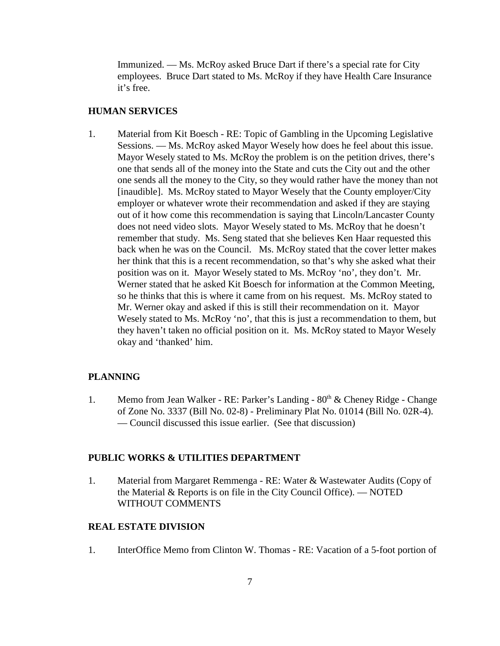Immunized. — Ms. McRoy asked Bruce Dart if there's a special rate for City employees. Bruce Dart stated to Ms. McRoy if they have Health Care Insurance it's free.

#### **HUMAN SERVICES**

1. Material from Kit Boesch - RE: Topic of Gambling in the Upcoming Legislative Sessions. — Ms. McRoy asked Mayor Wesely how does he feel about this issue. Mayor Wesely stated to Ms. McRoy the problem is on the petition drives, there's one that sends all of the money into the State and cuts the City out and the other one sends all the money to the City, so they would rather have the money than not [inaudible]. Ms. McRoy stated to Mayor Wesely that the County employer/City employer or whatever wrote their recommendation and asked if they are staying out of it how come this recommendation is saying that Lincoln/Lancaster County does not need video slots. Mayor Wesely stated to Ms. McRoy that he doesn't remember that study. Ms. Seng stated that she believes Ken Haar requested this back when he was on the Council. Ms. McRoy stated that the cover letter makes her think that this is a recent recommendation, so that's why she asked what their position was on it. Mayor Wesely stated to Ms. McRoy 'no', they don't. Mr. Werner stated that he asked Kit Boesch for information at the Common Meeting, so he thinks that this is where it came from on his request. Ms. McRoy stated to Mr. Werner okay and asked if this is still their recommendation on it. Mayor Wesely stated to Ms. McRoy 'no', that this is just a recommendation to them, but they haven't taken no official position on it. Ms. McRoy stated to Mayor Wesely okay and 'thanked' him.

#### **PLANNING**

1. Memo from Jean Walker - RE: Parker's Landing -  $80<sup>th</sup>$  & Cheney Ridge - Change of Zone No. 3337 (Bill No. 02-8) - Preliminary Plat No. 01014 (Bill No. 02R-4). — Council discussed this issue earlier. (See that discussion)

### **PUBLIC WORKS & UTILITIES DEPARTMENT**

1. Material from Margaret Remmenga - RE: Water & Wastewater Audits (Copy of the Material & Reports is on file in the City Council Office). — NOTED WITHOUT COMMENTS

#### **REAL ESTATE DIVISION**

1. InterOffice Memo from Clinton W. Thomas - RE: Vacation of a 5-foot portion of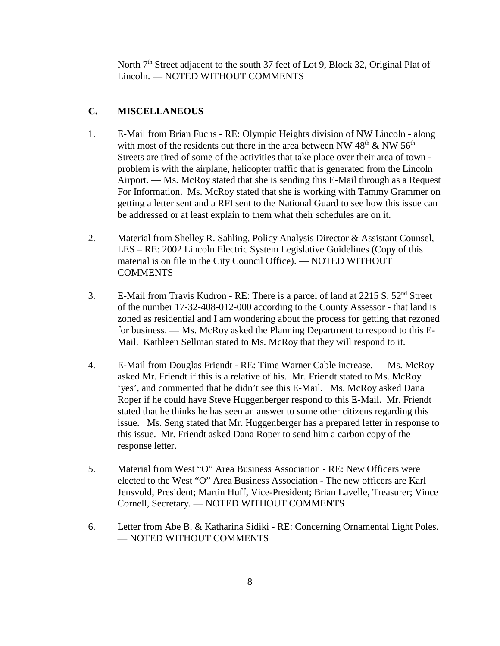North 7<sup>th</sup> Street adjacent to the south 37 feet of Lot 9, Block 32, Original Plat of Lincoln. — NOTED WITHOUT COMMENTS

# **C. MISCELLANEOUS**

- 1. E-Mail from Brian Fuchs RE: Olympic Heights division of NW Lincoln along with most of the residents out there in the area between NW  $48<sup>th</sup>$  & NW  $56<sup>th</sup>$ Streets are tired of some of the activities that take place over their area of town problem is with the airplane, helicopter traffic that is generated from the Lincoln Airport. — Ms. McRoy stated that she is sending this E-Mail through as a Request For Information. Ms. McRoy stated that she is working with Tammy Grammer on getting a letter sent and a RFI sent to the National Guard to see how this issue can be addressed or at least explain to them what their schedules are on it.
- 2. Material from Shelley R. Sahling, Policy Analysis Director & Assistant Counsel, LES – RE: 2002 Lincoln Electric System Legislative Guidelines (Copy of this material is on file in the City Council Office). — NOTED WITHOUT **COMMENTS**
- 3. E-Mail from Travis Kudron RE: There is a parcel of land at 2215 S. 52<sup>nd</sup> Street of the number 17-32-408-012-000 according to the County Assessor - that land is zoned as residential and I am wondering about the process for getting that rezoned for business. — Ms. McRoy asked the Planning Department to respond to this E-Mail. Kathleen Sellman stated to Ms. McRoy that they will respond to it.
- 4. E-Mail from Douglas Friendt RE: Time Warner Cable increase. Ms. McRoy asked Mr. Friendt if this is a relative of his. Mr. Friendt stated to Ms. McRoy 'yes', and commented that he didn't see this E-Mail. Ms. McRoy asked Dana Roper if he could have Steve Huggenberger respond to this E-Mail. Mr. Friendt stated that he thinks he has seen an answer to some other citizens regarding this issue. Ms. Seng stated that Mr. Huggenberger has a prepared letter in response to this issue. Mr. Friendt asked Dana Roper to send him a carbon copy of the response letter.
- 5. Material from West "O" Area Business Association RE: New Officers were elected to the West "O" Area Business Association - The new officers are Karl Jensvold, President; Martin Huff, Vice-President; Brian Lavelle, Treasurer; Vince Cornell, Secretary. — NOTED WITHOUT COMMENTS
- 6. Letter from Abe B. & Katharina Sidiki RE: Concerning Ornamental Light Poles. — NOTED WITHOUT COMMENTS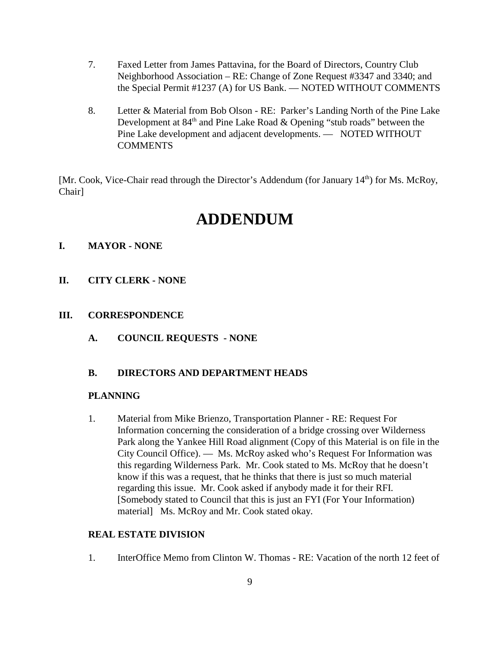- 7. Faxed Letter from James Pattavina, for the Board of Directors, Country Club Neighborhood Association – RE: Change of Zone Request #3347 and 3340; and the Special Permit #1237 (A) for US Bank. — NOTED WITHOUT COMMENTS
- 8. Letter & Material from Bob Olson RE: Parker's Landing North of the Pine Lake Development at  $84<sup>th</sup>$  and Pine Lake Road & Opening "stub roads" between the Pine Lake development and adjacent developments. — NOTED WITHOUT **COMMENTS**

[Mr. Cook, Vice-Chair read through the Director's Addendum (for January 14<sup>th</sup>) for Ms. McRoy, Chair]

# **ADDENDUM**

### **I. MAYOR - NONE**

**II. CITY CLERK - NONE**

#### **III. CORRESPONDENCE**

**A. COUNCIL REQUESTS - NONE**

### **B. DIRECTORS AND DEPARTMENT HEADS**

#### **PLANNING**

1. Material from Mike Brienzo, Transportation Planner - RE: Request For Information concerning the consideration of a bridge crossing over Wilderness Park along the Yankee Hill Road alignment (Copy of this Material is on file in the City Council Office). — Ms. McRoy asked who's Request For Information was this regarding Wilderness Park. Mr. Cook stated to Ms. McRoy that he doesn't know if this was a request, that he thinks that there is just so much material regarding this issue. Mr. Cook asked if anybody made it for their RFI. [Somebody stated to Council that this is just an FYI (For Your Information) material] Ms. McRoy and Mr. Cook stated okay.

#### **REAL ESTATE DIVISION**

1. InterOffice Memo from Clinton W. Thomas - RE: Vacation of the north 12 feet of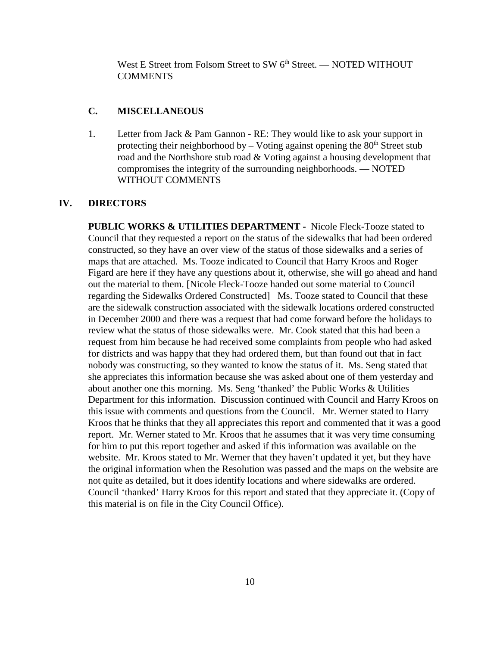West E Street from Folsom Street to SW 6<sup>th</sup> Street. — NOTED WITHOUT **COMMENTS** 

#### **C. MISCELLANEOUS**

1. Letter from Jack & Pam Gannon - RE: They would like to ask your support in protecting their neighborhood by – Voting against opening the  $80<sup>th</sup>$  Street stub road and the Northshore stub road & Voting against a housing development that compromises the integrity of the surrounding neighborhoods. — NOTED WITHOUT COMMENTS

#### **IV. DIRECTORS**

**PUBLIC WORKS & UTILITIES DEPARTMENT -** Nicole Fleck-Tooze stated to Council that they requested a report on the status of the sidewalks that had been ordered constructed, so they have an over view of the status of those sidewalks and a series of maps that are attached. Ms. Tooze indicated to Council that Harry Kroos and Roger Figard are here if they have any questions about it, otherwise, she will go ahead and hand out the material to them. [Nicole Fleck-Tooze handed out some material to Council regarding the Sidewalks Ordered Constructed] Ms. Tooze stated to Council that these are the sidewalk construction associated with the sidewalk locations ordered constructed in December 2000 and there was a request that had come forward before the holidays to review what the status of those sidewalks were. Mr. Cook stated that this had been a request from him because he had received some complaints from people who had asked for districts and was happy that they had ordered them, but than found out that in fact nobody was constructing, so they wanted to know the status of it. Ms. Seng stated that she appreciates this information because she was asked about one of them yesterday and about another one this morning. Ms. Seng 'thanked' the Public Works & Utilities Department for this information. Discussion continued with Council and Harry Kroos on this issue with comments and questions from the Council. Mr. Werner stated to Harry Kroos that he thinks that they all appreciates this report and commented that it was a good report. Mr. Werner stated to Mr. Kroos that he assumes that it was very time consuming for him to put this report together and asked if this information was available on the website. Mr. Kroos stated to Mr. Werner that they haven't updated it yet, but they have the original information when the Resolution was passed and the maps on the website are not quite as detailed, but it does identify locations and where sidewalks are ordered. Council 'thanked' Harry Kroos for this report and stated that they appreciate it. (Copy of this material is on file in the City Council Office).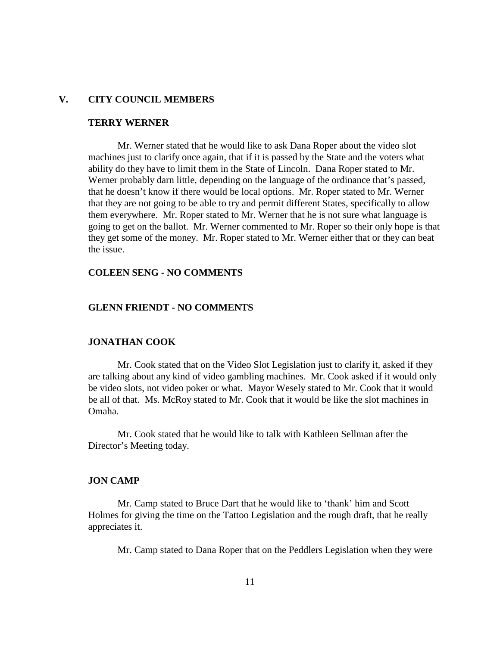### **V. CITY COUNCIL MEMBERS**

#### **TERRY WERNER**

Mr. Werner stated that he would like to ask Dana Roper about the video slot machines just to clarify once again, that if it is passed by the State and the voters what ability do they have to limit them in the State of Lincoln. Dana Roper stated to Mr. Werner probably darn little, depending on the language of the ordinance that's passed, that he doesn't know if there would be local options. Mr. Roper stated to Mr. Werner that they are not going to be able to try and permit different States, specifically to allow them everywhere. Mr. Roper stated to Mr. Werner that he is not sure what language is going to get on the ballot. Mr. Werner commented to Mr. Roper so their only hope is that they get some of the money. Mr. Roper stated to Mr. Werner either that or they can beat the issue.

#### **COLEEN SENG - NO COMMENTS**

#### **GLENN FRIENDT - NO COMMENTS**

#### **JONATHAN COOK**

Mr. Cook stated that on the Video Slot Legislation just to clarify it, asked if they are talking about any kind of video gambling machines. Mr. Cook asked if it would only be video slots, not video poker or what. Mayor Wesely stated to Mr. Cook that it would be all of that. Ms. McRoy stated to Mr. Cook that it would be like the slot machines in Omaha.

Mr. Cook stated that he would like to talk with Kathleen Sellman after the Director's Meeting today.

#### **JON CAMP**

Mr. Camp stated to Bruce Dart that he would like to 'thank' him and Scott Holmes for giving the time on the Tattoo Legislation and the rough draft, that he really appreciates it.

Mr. Camp stated to Dana Roper that on the Peddlers Legislation when they were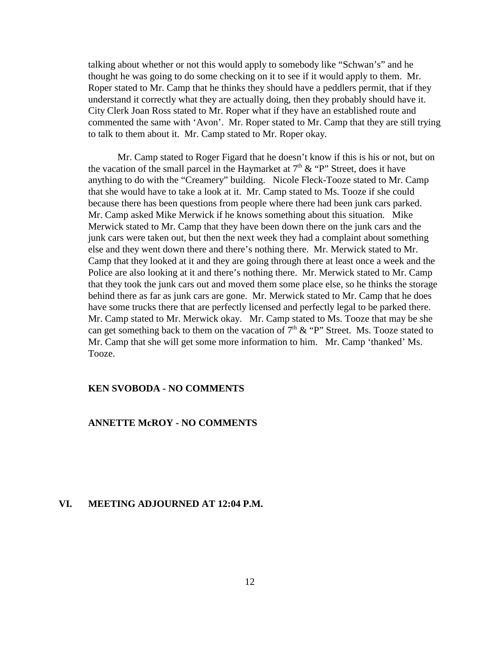talking about whether or not this would apply to somebody like "Schwan's" and he thought he was going to do some checking on it to see if it would apply to them. Mr. Roper stated to Mr. Camp that he thinks they should have a peddlers permit, that if they understand it correctly what they are actually doing, then they probably should have it. City Clerk Joan Ross stated to Mr. Roper what if they have an established route and commented the same with 'Avon'. Mr. Roper stated to Mr. Camp that they are still trying to talk to them about it. Mr. Camp stated to Mr. Roper okay.

Mr. Camp stated to Roger Figard that he doesn't know if this is his or not, but on the vacation of the small parcel in the Haymarket at  $7<sup>th</sup> \& ^{\circ}$  "P" Street, does it have anything to do with the "Creamery" building. Nicole Fleck-Tooze stated to Mr. Camp that she would have to take a look at it. Mr. Camp stated to Ms. Tooze if she could because there has been questions from people where there had been junk cars parked. Mr. Camp asked Mike Merwick if he knows something about this situation. Mike Merwick stated to Mr. Camp that they have been down there on the junk cars and the junk cars were taken out, but then the next week they had a complaint about something else and they went down there and there's nothing there. Mr. Merwick stated to Mr. Camp that they looked at it and they are going through there at least once a week and the Police are also looking at it and there's nothing there. Mr. Merwick stated to Mr. Camp that they took the junk cars out and moved them some place else, so he thinks the storage behind there as far as junk cars are gone. Mr. Merwick stated to Mr. Camp that he does have some trucks there that are perfectly licensed and perfectly legal to be parked there. Mr. Camp stated to Mr. Merwick okay. Mr. Camp stated to Ms. Tooze that may be she can get something back to them on the vacation of  $7<sup>th</sup>$  & "P" Street. Ms. Tooze stated to Mr. Camp that she will get some more information to him. Mr. Camp 'thanked' Ms. Tooze.

#### **KEN SVOBODA - NO COMMENTS**

#### **ANNETTE McROY - NO COMMENTS**

#### **VI. MEETING ADJOURNED AT 12:04 P.M.**